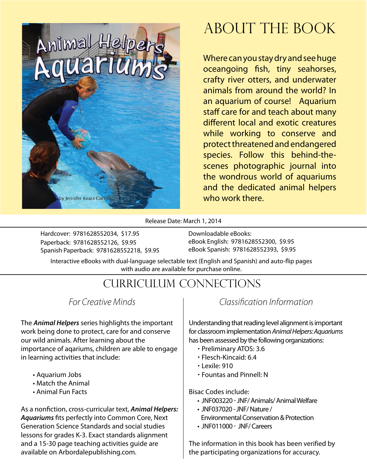

### About The Book

Where can you stay dry and see huge oceangoing fish, tiny seahorses, crafty river otters, and underwater animals from around the world? In an aquarium of course! Aquarium staff care for and teach about many different local and exotic creatures while working to conserve and protect threatened and endangered species. Follow this behind-thescenes photographic journal into the wondrous world of aquariums and the dedicated animal helpers who work there.

Release Date: March 1, 2014

Hardcover: 9781628552034, \$17.95 Paperback: 9781628552126, \$9.95 Spanish Paperback: 9781628552218, \$9.95 Downloadable eBooks: eBook English: 9781628552300, \$9.95 eBook Spanish: 9781628552393, \$9.95

Interactive eBooks with dual-language selectable text (English and Spanish) and auto-flip pages with audio are available for purchase online.

### Curriculum Connections

*For Creative Minds*

The *Animal Helpers* series highlights the important work being done to protect, care for and conserve our wild animals. After learning about the importance of aqariums, children are able to engage in learning activities that include:

- Aquarium Jobs
- Match the Animal
- Animal Fun Facts

As a nonfiction, cross-curricular text, *Animal Helpers: Aquariums* fits perfectly into Common Core, Next Generation Science Standards and social studies lessons for grades K-3. Exact standards alignment and a 15-30 page teaching activities guide are available on Arbordalepublishing.com.

#### *Classification Information*

Understanding that reading level alignment is important for classroom implementation *Animal Helpers: Aquariums* has been assessed by the following organizations:

- Preliminary ATOS: 3.6
- Flesch-Kincaid: 6.4
- Lexile: 910
- Fountas and Pinnell: N

Bisac Codes include:

- JNF003220 JNF/ Animals/ Animal Welfare
- JNF037020 JNF/ Nature / Environmental Conservation & Protection • **JNF011000 - JNF/Careers**
- 

The information in this book has been verified by the participating organizations for accuracy.